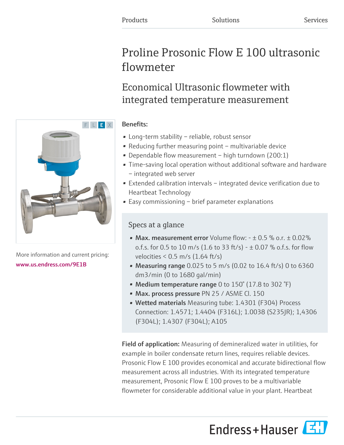# Proline Prosonic Flow E 100 ultrasonic flowmeter

Economical Ultrasonic flowmeter with integrated temperature measurement

### Benefits:

- Long-term stability reliable, robust sensor
- Reducing further measuring point multivariable device
- Dependable flow measurement high turndown (200:1)
- Time-saving local operation without additional software and hardware – integrated web server
- Extended calibration intervals integrated device verification due to Heartbeat Technology
- Easy commissioning brief parameter explanations

## Specs at a glance

- Max. measurement error Volume flow:  $\pm 0.5$  % o.r.  $\pm 0.02$ % o.f.s. for 0.5 to 10 m/s (1.6 to 33 ft/s) -  $\pm$  0.07 % o.f.s. for flow velocities < 0.5 m/s (1.64 ft/s)
- Measuring range  $0.025$  to 5 m/s (0.02 to 16.4 ft/s) 0 to 6360 dm3/min (0 to 1680 gal/min)
- Medium temperature range 0 to  $150^{\circ}$  (17.8 to 302  $^{\circ}$ F)
- Max. process pressure PN 25 / ASME Cl. 150
- Wetted materials Measuring tube: 1.4301 (F304) Process Connection: 1.4571; 1.4404 (F316L); 1.0038 (S235JR); 1,4306 (F304L); 1.4307 (F304L); A105

Field of application: Measuring of demineralized water in utilities, for example in boiler condensate return lines, requires reliable devices. Prosonic Flow E 100 provides economical and accurate bidirectional flow measurement across all industries. With its integrated temperature measurement, Prosonic Flow E 100 proves to be a multivariable flowmeter for considerable additional value in your plant. Heartbeat





More information and current pricing: [www.us.endress.com/9E1B](https://www.us.endress.com/9E1B)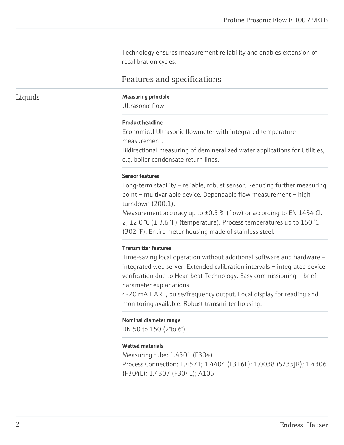Technology ensures measurement reliability and enables extension of recalibration cycles.

### Features and specifications

#### Liquids Measuring principle

Ultrasonic flow

#### Product headline

Economical Ultrasonic flowmeter with integrated temperature measurement.

Bidirectional measuring of demineralized water applications for Utilities, e.g. boiler condensate return lines.

#### Sensor features

Long-term stability – reliable, robust sensor. Reducing further measuring point – multivariable device. Dependable flow measurement – high turndown (200:1).

Measurement accuracy up to  $\pm 0.5$  % (flow) or according to EN 1434 Cl. 2,  $\pm$ 2.0 °C ( $\pm$  3.6 °F) (temperature). Process temperatures up to 150 °C (302 °F). Entire meter housing made of stainless steel.

#### Transmitter features

Time-saving local operation without additional software and hardware – integrated web server. Extended calibration intervals – integrated device verification due to Heartbeat Technology. Easy commissioning – brief parameter explanations.

4-20 mA HART, pulse/frequency output. Local display for reading and monitoring available. Robust transmitter housing.

#### Nominal diameter range

DN 50 to 150 (2"to 6")

#### Wetted materials

Measuring tube: 1.4301 (F304) Process Connection: 1.4571; 1.4404 (F316L); 1.0038 (S235JR); 1,4306 (F304L); 1.4307 (F304L); A105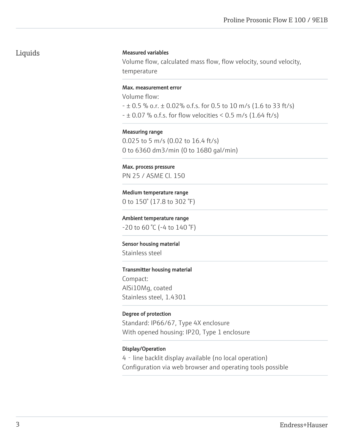### Liquids

#### Measured variables

Volume flow, calculated mass flow, flow velocity, sound velocity, temperature

#### Max. measurement error

Volume flow:

- ± 0.5 % o.r. ± 0.02% o.f.s. for 0.5 to 10 m/s (1.6 to 33 ft/s)
- $\pm 0.07$  % o.f.s. for flow velocities < 0.5 m/s (1.64 ft/s)

Measuring range

0.025 to 5 m/s (0.02 to 16.4 ft/s) 0 to 6360 dm3/min (0 to 1680 gal/min)

#### Max. process pressure

PN 25 / ASME Cl. 150

Medium temperature range 0 to 150° (17.8 to 302 °F)

Ambient temperature range

 $-20$  to 60 °C ( $-4$  to 140 °F)

Sensor housing material Stainless steel

#### Transmitter housing material

Compact: AlSi10Mg, coated Stainless steel, 1.4301

#### Degree of protection

Standard: IP66/67, Type 4X enclosure With opened housing: IP20, Type 1 enclosure

#### Display/Operation

4 - line backlit display available (no local operation) Configuration via web browser and operating tools possible